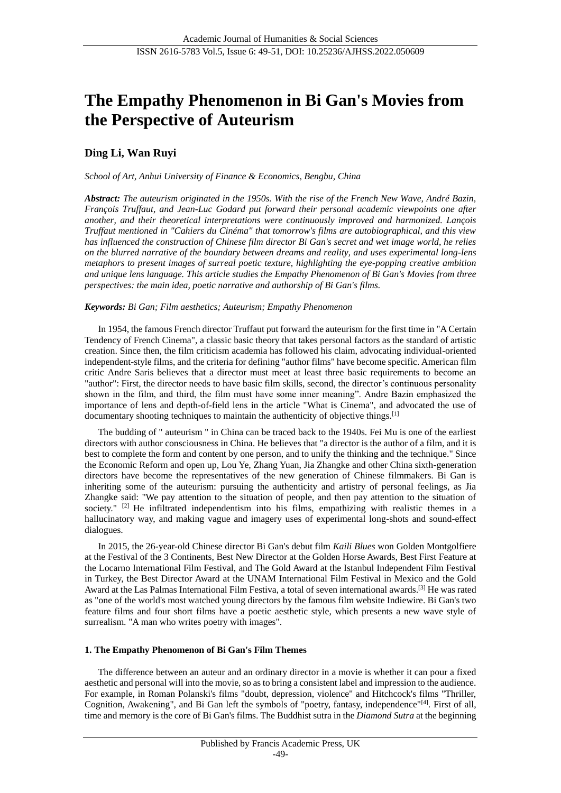# **The Empathy Phenomenon in Bi Gan's Movies from the Perspective of Auteurism**

# **Ding Li, Wan Ruyi**

*School of Art, Anhui University of Finance & Economics, Bengbu, China*

*Abstract: The auteurism originated in the 1950s. With the rise of the French New Wave, André Bazin, François Truffaut, and Jean-Luc Godard put forward their personal academic viewpoints one after another, and their theoretical interpretations were continuously improved and harmonized. Lançois Truffaut mentioned in "Cahiers du Cinéma" that tomorrow's films are autobiographical, and this view has influenced the construction of Chinese film director Bi Gan's secret and wet image world, he relies on the blurred narrative of the boundary between dreams and reality, and uses experimental long-lens metaphors to present images of surreal poetic texture, highlighting the eye-popping creative ambition and unique lens language. This article studies the Empathy Phenomenon of Bi Gan's Movies from three perspectives: the main idea, poetic narrative and authorship of Bi Gan's films.*

### *Keywords: Bi Gan; Film aesthetics; Auteurism; Empathy Phenomenon*

In 1954, the famous French director Truffaut put forward the auteurism for the first time in "A Certain Tendency of French Cinema", a classic basic theory that takes personal factors as the standard of artistic creation. Since then, the film criticism academia has followed his claim, advocating individual-oriented independent-style films, and the criteria for defining "author films" have become specific. American film critic Andre Saris believes that a director must meet at least three basic requirements to become an "author": First, the director needs to have basic film skills, second, the director's continuous personality shown in the film, and third, the film must have some inner meaning". Andre Bazin emphasized the importance of lens and depth-of-field lens in the article "What is Cinema", and advocated the use of documentary shooting techniques to maintain the authenticity of objective things.<sup>[1]</sup>

The budding of " auteurism " in China can be traced back to the 1940s. Fei Mu is one of the earliest directors with author consciousness in China. He believes that "a director is the author of a film, and it is best to complete the form and content by one person, and to unify the thinking and the technique." Since the Economic Reform and open up, Lou Ye, Zhang Yuan, Jia Zhangke and other China sixth-generation directors have become the representatives of the new generation of Chinese filmmakers. Bi Gan is inheriting some of the auteurism: pursuing the authenticity and artistry of personal feelings, as Jia Zhangke said: "We pay attention to the situation of people, and then pay attention to the situation of society." <sup>[2]</sup> He infiltrated independentism into his films, empathizing with realistic themes in a hallucinatory way, and making vague and imagery uses of experimental long-shots and sound-effect dialogues.

In 2015, the 26-year-old Chinese director Bi Gan's debut film *Kaili Blues* won Golden Montgolfiere at the Festival of the 3 Continents, Best New Director at the Golden Horse Awards, Best First Feature at the Locarno International Film Festival, and The Gold Award at the Istanbul Independent Film Festival in Turkey, the Best Director Award at the UNAM International Film Festival in Mexico and the Gold Award at the Las Palmas International Film Festiva, a total of seven international awards.[3] He was rated as "one of the world's most watched young directors by the famous film website Indiewire. Bi Gan's two feature films and four short films have a poetic aesthetic style, which presents a new wave style of surrealism. "A man who writes poetry with images".

## **1. The Empathy Phenomenon of Bi Gan's Film Themes**

The difference between an auteur and an ordinary director in a movie is whether it can pour a fixed aesthetic and personal will into the movie, so as to bring a consistent label and impression to the audience. For example, in Roman Polanski's films "doubt, depression, violence" and Hitchcock's films "Thriller, Cognition, Awakening", and Bi Gan left the symbols of "poetry, fantasy, independence"[4]. First of all, time and memory is the core of Bi Gan's films. The Buddhist sutra in the *Diamond Sutra* at the beginning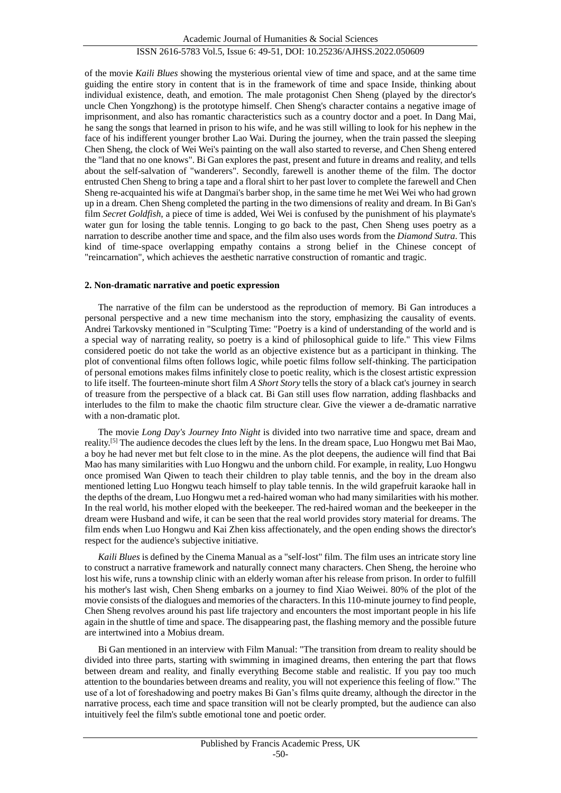# ISSN 2616-5783 Vol.5, Issue 6: 49-51, DOI: 10.25236/AJHSS.2022.050609

of the movie *Kaili Blues* showing the mysterious oriental view of time and space, and at the same time guiding the entire story in content that is in the framework of time and space Inside, thinking about individual existence, death, and emotion. The male protagonist Chen Sheng (played by the director's uncle Chen Yongzhong) is the prototype himself. Chen Sheng's character contains a negative image of imprisonment, and also has romantic characteristics such as a country doctor and a poet. In Dang Mai, he sang the songs that learned in prison to his wife, and he was still willing to look for his nephew in the face of his indifferent younger brother Lao Wai. During the journey, when the train passed the sleeping Chen Sheng, the clock of Wei Wei's painting on the wall also started to reverse, and Chen Sheng entered the "land that no one knows". Bi Gan explores the past, present and future in dreams and reality, and tells about the self-salvation of "wanderers". Secondly, farewell is another theme of the film. The doctor entrusted Chen Sheng to bring a tape and a floral shirt to her past lover to complete the farewell and Chen Sheng re-acquainted his wife at Dangmai's barber shop, in the same time he met Wei Wei who had grown up in a dream. Chen Sheng completed the parting in the two dimensions of reality and dream. In Bi Gan's film *Secret Goldfish*, a piece of time is added, Wei Wei is confused by the punishment of his playmate's water gun for losing the table tennis. Longing to go back to the past, Chen Sheng uses poetry as a narration to describe another time and space, and the film also uses words from the *Diamond Sutra*. This kind of time-space overlapping empathy contains a strong belief in the Chinese concept of "reincarnation", which achieves the aesthetic narrative construction of romantic and tragic.

#### **2. Non-dramatic narrative and poetic expression**

The narrative of the film can be understood as the reproduction of memory. Bi Gan introduces a personal perspective and a new time mechanism into the story, emphasizing the causality of events. Andrei Tarkovsky mentioned in "Sculpting Time: "Poetry is a kind of understanding of the world and is a special way of narrating reality, so poetry is a kind of philosophical guide to life." This view Films considered poetic do not take the world as an objective existence but as a participant in thinking. The plot of conventional films often follows logic, while poetic films follow self-thinking. The participation of personal emotions makes films infinitely close to poetic reality, which is the closest artistic expression to life itself. The fourteen-minute short film *A Short Story* tells the story of a black cat's journey in search of treasure from the perspective of a black cat. Bi Gan still uses flow narration, adding flashbacks and interludes to the film to make the chaotic film structure clear. Give the viewer a de-dramatic narrative with a non-dramatic plot.

The movie *Long Day's Journey Into Night* is divided into two narrative time and space, dream and reality.[5] The audience decodes the clues left by the lens. In the dream space, Luo Hongwu met Bai Mao, a boy he had never met but felt close to in the mine. As the plot deepens, the audience will find that Bai Mao has many similarities with Luo Hongwu and the unborn child. For example, in reality, Luo Hongwu once promised Wan Qiwen to teach their children to play table tennis, and the boy in the dream also mentioned letting Luo Hongwu teach himself to play table tennis. In the wild grapefruit karaoke hall in the depths of the dream, Luo Hongwu met a red-haired woman who had many similarities with his mother. In the real world, his mother eloped with the beekeeper. The red-haired woman and the beekeeper in the dream were Husband and wife, it can be seen that the real world provides story material for dreams. The film ends when Luo Hongwu and Kai Zhen kiss affectionately, and the open ending shows the director's respect for the audience's subjective initiative.

*Kaili Blues* is defined by the Cinema Manual as a "self-lost" film. The film uses an intricate story line to construct a narrative framework and naturally connect many characters. Chen Sheng, the heroine who lost his wife, runs a township clinic with an elderly woman after his release from prison. In order to fulfill his mother's last wish, Chen Sheng embarks on a journey to find Xiao Weiwei. 80% of the plot of the movie consists of the dialogues and memories of the characters. In this 110-minute journey to find people, Chen Sheng revolves around his past life trajectory and encounters the most important people in his life again in the shuttle of time and space. The disappearing past, the flashing memory and the possible future are intertwined into a Mobius dream.

Bi Gan mentioned in an interview with Film Manual: "The transition from dream to reality should be divided into three parts, starting with swimming in imagined dreams, then entering the part that flows between dream and reality, and finally everything Become stable and realistic. If you pay too much attention to the boundaries between dreams and reality, you will not experience this feeling of flow." The use of a lot of foreshadowing and poetry makes Bi Gan's films quite dreamy, although the director in the narrative process, each time and space transition will not be clearly prompted, but the audience can also intuitively feel the film's subtle emotional tone and poetic order.